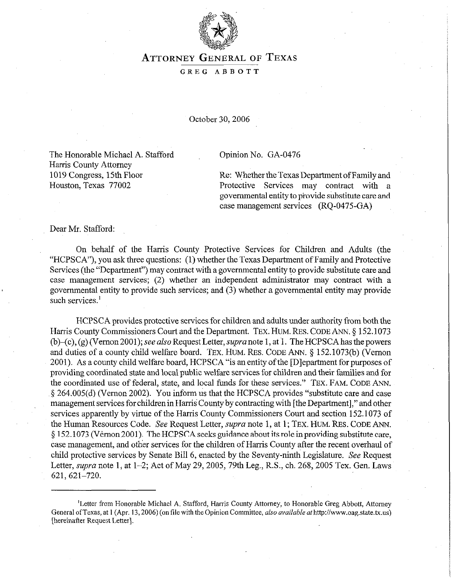

# **ATTORNEY** GENERAL **OF TEXAS**

#### GREG ABBOTT

October 30,2006

The Honorable Michael A. Stafford Harris County Attorney 1019 Congress, 15th Floor Houston, Texas 77002

#### Opinion No. GA-0476

Re: Whether the Texas Department of Family and Protective Services may contract with a governmental entity to provide substitute care and case management services (RQ-0475-GA)

Dear Mr. Stafford:

On behalf of the Harris County Protective Services for Children and Adults (the "HCPSCA"), you ask three questions: (1) whether the Texas Department of Family and Protective Services (the "Department") may contract with a governmental entity to provide substitute care and case management services; (2) whether an independent administrator may contract with a governmental entity to provide such services; and (3) whether a governmental entity may provide such services.<sup>1</sup>

HCPSCA provides protective services for children and adults under authority from both the Harris County Commissioners Court and the Department. **TEX. HUM. REs. CODE ANN. § 152.1073**  (b)–(c), (g) (Vernon 2001); see also Request Letter, supra note 1, at 1. The HCPSCA has the powers and duties of a county child welfare board. **TEX. HUM. REs.** CODE **ANN. 5 152.1073(b)** (Vernon 2001). As a county child welfare board, HCPSCA "is an entity of the [D]epartment for purposes of providing coordinated state and locai public welfare services for children and their families and for the coordinated use of federal, state, and local funds for these services." **TEX. FAM. CODE ANN.**  § 264.005(d) (Vernon 2002). You inform us that the HCPSCA provides "substitute care and case management services for children in Harris County by contracting with [the Department]," and other services apparently by virtue of the Harris County Commissioners Court and section 152.1073 of the Human Resources Code. See Request Letter, *supra* note 1, at 1; TEX. HUM. RES. CODE ANN. 5 152.1073 (Vernon 2001). The HCPSCA seeks guidance about its role in providing substitute care, case management, and other services for the children of Harris County after the recent overhaul of child protective services by Senate Bill 6, enacted by the Seventy-ninth Legislature. See Request Letter, *supra* note 1, at 1-2; Act of May 29, 2005, 79th Leg., R.S., ch. 268, 2005 Tex. Gen. Laws 621,621-720.

<sup>&#</sup>x27;Letter from Honorable Michael A. Stafford, Harris County Attorney, to Honorable Greg Abbott, Attorney General of Texas, at 1 (Apr. 13, 2006) (on file with the Opinion Committee, *also available at* http://www.oag.state.tx.us) [hereinafter Request Letter].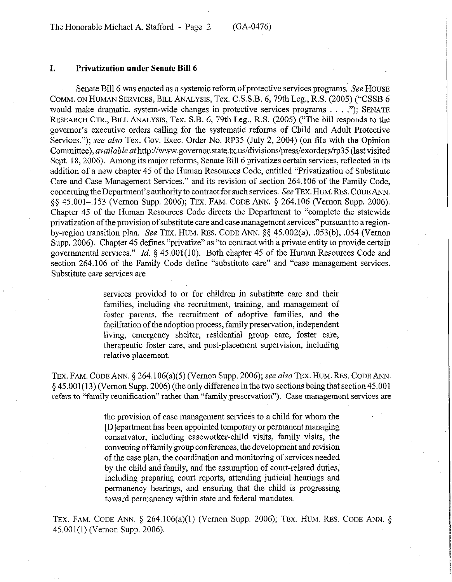#### **I. Privatization under Senate Bill 6**

Senate Bill 6 was enacted as a systemic reform of protective services programs. See HOUSE COMM. ON HUMAN SERVICES, BILL ANALYSIS, Tex. C.S.S.B. 6,79th Leg., R.S. (2005) ("CSSB 6 would make dramatic, system-wide changes in protective services programs . . ."); SENATE RESEARCH CTR., BILL ANALYSIS, Tex. S.B. 6, 79th Leg., R.S. (2005) ("The bill responds to the governor's executive orders calling for the systematic reforms of Child and Adult Protective Services."); see also Tex. Gov. Exec. Order No. RP35 (July 2, 2004) (on file with the Opinion Committee), *available at* http://www.governor.state.tx.us/divisions/press/exorders/rp35 (last visited Sept. 18, 2006). Among its major reforms, Senate Bill 6 privatizes certain services, reflected in its addition of a new chapter 45 of the Human Resources Code, entitled "Privatization of Substitute Care and Case Management Services," and its revision of section 264.106 of the Family Code, concerning the Department's authority to contract for such services. See TEx. HUM. REs. CODE ANN. §§ 45.001-.153 (Vernon Supp. 2006); TEX. FAM. CODE ANN. § 264.106 (Vernon Supp. 2006). Chapter 45 of the Human Resources Code directs the Department to "complete the statewide privatization of the provision of substitute care and case management services" pursuant to a regionby-region transition plan. See TEX. HUM. RES. CODE ANN. §§ 45.002(a), .053(b), .054 (Vernon Supp. 2006). Chapter 45 defines "privatize" as "to contract with a private entity to provide certain governmental services." *Id.* § 45.001(10). Both chapter 45 of the Human Resources Code and section 264.106 of the Family Code define "substitute care" and "case management services. Substitute care services are

> services provided to or for children in substitute care and their families, including the recruitment, training, and management of foster parents, the recruitment of adoptive families, and the facilitation of the adoption process, family preservation, independent living, emergency shelter, residential group care, foster care, therapeutic foster care, and post-placement supervision, including relative placement.

TEX. FAM. CODE ANN. § 264,106(a)(5) (Vernon Supp. 2006); see also TEX. HUM. RES. CODE ANN. § 45.001(13) (Vernon Supp. 2006) (the only difference in the two sections being that section 45.001 refers to "family reunification" rather than "family preservation"). Case management services are

> the provision of case management services to a child for whom the [Dlepartment has been appointed temporary or permanent managing conservator, including caseworker-child visits, family visits, the convening of family group conferences, the development and revision of the case plan, the coordination and monitoring of services needed by the child and family, and the assumption of court-related'duties, including preparing court reports, attending judicial hearings and permanency hearings, and ensuring that the child is progressing toward permanency within state and federal mandates.

TEX. FAM. CODE ANN.  $\S$  264.106(a)(1) (Vernon Supp. 2006); TEX. HUM. RES. CODE ANN.  $\S$ 45.001(l) (Vernon Supp. 2006).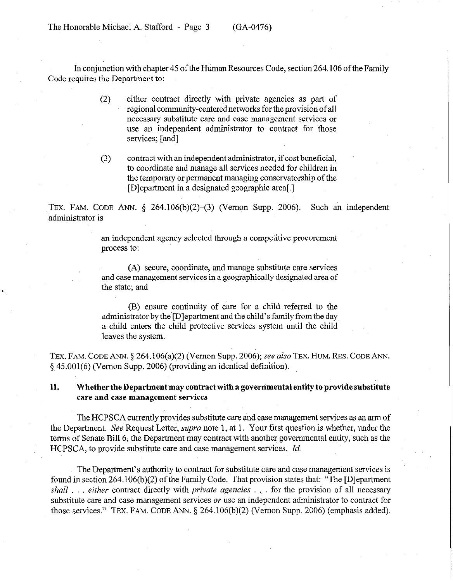The Honorable Michael A. Stafford - Page 3 (GA-0476)

In conjunction with chapter 45 of the Human Resources Code, section 264.106 of the Family Code requires the Department to:

- (2) either contract directly with private agencies as part of regional community-centered networks for the provision of all necessary substitute care and case management services or use an independent administrator to contract for those services; [and]
- (3) contract with an independent administrator, if cost beneficial, to coordinate and manage all services needed for children in the temporary or permanent managing conservatorship of the [Dlepartment in a designated geographic area[.]

TEX. FAM. CODE ANN.  $\S$  264.106(b)(2)–(3) (Vernon Supp. 2006). Such an independent administrator is

> an independent agency selected through a competitive procurement process to:

> (A) secure, coordinate, and manage substitute care services and case management services in a geographically designated area of the state; and

> (B) ensure continuity of care for a child referred to the administrator by the [Dlepartment and the child's family from the day a child enters the child protective services system until the child leaves the system.

TEX. FAM. CODE ANN. § 264.106(a)(2). (Vernon Supp. 2006); see also TEX. HUM. RES. CODE ANN. § 45.001(6) (Vernon Supp. 2006) (providing an identical definition).

## **II. Whether theDepartment may contract with a governmental entity to provide substitute care and case management services**

The HCPSCA currently provides substitute care and case management services as an arm of the Department. See Request Letter, supra note 1, at 1. Your first question is whether, under the terms of Senate Bill 6, the Department may contract with another governmental entity, such as the HCPSCA, to provide substitute care and case management services. *Id.* 

The Department's authority to contract for substitute care and case management services is found in section 264,106(b)(2) of the Family Code. That provision states that: "The [Dlepartment shall ... either contract directly with *private agencies* ... for the provision of all necessary substitute care and case management services or use an independent administrator to contract for those services." TEx. FAM. CODE ANN. \$ 264.106(b)(2) (Vernon Supp. 2006) (emphasis added).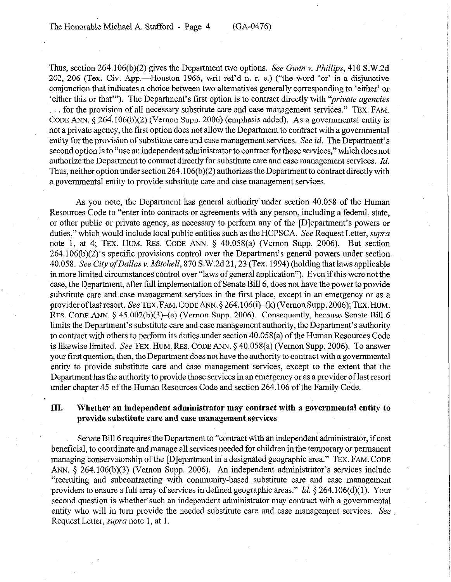Thus, section 264.106(b)(2) gives the Department two options. See *Gum v. Phillips,* 410 S.W.2d 202, 206 (Tex. Civ. App.—Houston 1966, writ ref'd n. r. e.) ("the word 'or' is a disjunctive conjunction that indicates a choice between two alternatives generally corresponding to 'either' or 'either this or that"'). The Department's first option is to contract directly with *"private agencies .* for the provision of all necessary substitute care and case management services." **TEX. FAM. CODE** ANN. 5 264.106(b)(2) (Vernon Supp. 2006) (emphasis added). As a governmental entity is not a private agency, the fist option does not allow the Department to contract with a governmental entity for the provision of substitute care and case management services. See *id.* The Department's second option is to "use an independent administrator to contract for those services," which does not authorize the Department to contract directly for substitute care and case management services. *Id.* Thus, neither option under section 264.106(b)(2) authorizes the Department to contract directly with a governmental entity to provide substitute care and case management services.

As you note, the Department has general authority under section 40.058 of the Human Resources Code to "enter into contracts or agreements with any person, including a'federal, state, or other public or private agency, as necessary to perform any of the [Dlepartment's powers or duties," which would include local public entities such as the HCPSCA. See Request Letter, *supra*  note 1, at 4; **TEX.** HUM. **RES. CODE** ANN. 5 40.058(a) (Vernon Supp. 2006). But section 264.106(b)(2)'s specific provisions control over the Department's general powers under section *40.058. See City ofDallas* v. *Mitchell,* 870 S.W.2d 21,23 (Tex. 1994) (holding that laws applicable in more limited circumstances control over "laws of general application"). Even if this were not the case, the Department, after full implementation of Senate Bill 6, does not have the power to provide substitute care and case management services in the first place, except in an emergency or as a provider of last resort. See TEX. FAM. CODE ANN.  $\S 264.106(i)$  (Vernon Supp. 2006); TEX. HUM. RES. CODE ANN. § 45.002(b)(3)-(e) (Vernon Supp. 2006). Consequently, because Senate Bill 6 limits the Department's substitute care and case management authority, the Department's authority to contract with others to perform its duties under section 40.058(a) of the Human Resources Code is likewise limited. See TEX. HUM: RES. CODE ANN. § 40.058(a) (Vernon Supp. 2006). To answer your first question, then, the Department does not have the authority to contract with a governmental entity to provide substitute care and case management services, except to the extent that the Department has the authority to provide those services in an emergency or as a provider of last resort under chapter 45 of the Human Resources Code and section 264.106 of the Family Code.

## **III.** Whether an independent administrator may contract with a governmental entity to **provide substitute care and case management services**

Senate Bill 6 requires the Department to "contract with an independent administrator, if cost beneficial, to coordinate and manage all services needed for children in the temporary or permanent managing conservatorship of the [D]epartment in a designated geographic area." TEX. FAM. CODE ANN. 5 264,106(b)(3) (Vernon Supp. 2006). An independent administrator's services include "recruiting and subcontracting with community-based substitute care and case management providers to ensure a full array of services in defined geographic areas." *Id.* \$264.106(d)(l). Your second question is whether such an independent administrator may contract with a governmental entity who will in turn provide the needed substitute care and case management services, See Request Letter, *supra* note 1, at 1.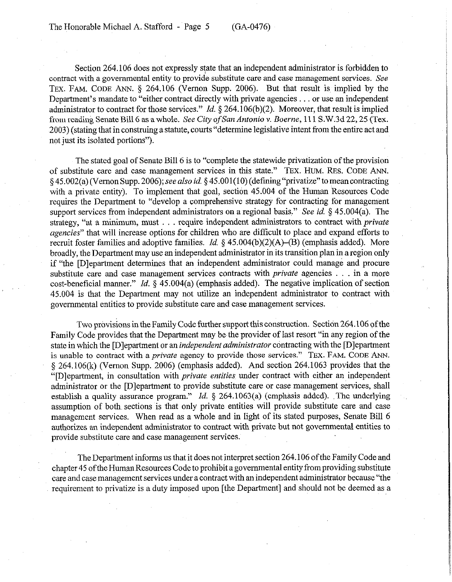Section 264.106 does not expressly state that an independent administrator is forbidden to contract with a governmental entity to provide substitute care and case management services. See **TEX. FAM. CODE** ANN. § 264.106 (Vernon Supp. 2006). But that result is implied by the Department's mandate to "either contract directly with private agencies . . . or use an independent administrator to contract for those services." *Id.* § 264.106(b)(2). Moreover, that result is implied from reading Senate Bill 6 as a whole. See City of San Antonio v. Boerne, 111 S.W.3d 22, 25 (Tex. 2003) (stating that in construing a statute, courts "determine legislative intent from the entire act and not just its isolated portions").

The stated goal of Senate Bill 6 is to "complete the statewide privatization of the provision of substitute care and case management services in this state." TEX. HUM. RES. CODE ANN. § 45.002(a) (Vernon Supp. 2006);seealso *id.* § 45.001(10) (detining"privatize" tomeancontracting with a private entity). To implement that goal, section 45.004 of the Human Resources Code requires the Department to "develop a comprehensive strategy for contracting for management support services from independent administrators on a regional basis." See *id.* § 45.004(a). The strategy, "at a minimum, must . . require independent administrators to contract with *private agencies"* that will increase options for children who are difficult to place and expand efforts to recruit foster families and adoptive families. *Id.* 5 45,004(b)(2)(A)-(B) (emphasis added). More broadly, the Department may use an independent administrator in its transition plan in a region only if "the [Dlepartment determines that an independent administrator could manage and procure substitute care and case management services contracts with *private* agencies . . . in a more cost-beneficial manner." *Id.* § 45.004(a) (emphasis added). The negative implication of section 45.004 is that the Department may not utilize an independent administrator to contract with governmental entities to provide substitute care and case management services.

Two provisions in the Family Code further support this construction. Section 264.106 of the Family Code provides that the Department may be the provider of last resort "in any region of the state in which the [Dlepartment or *an independent administrator* contracting with the [Dlepartment is unable to contract with a *private* agency to provide those services." TEX. FAM. CODE ANN. 5 264.106(k) (Vernon Supp. 2006) (emphasis added). And section 264.1063 provides that the "[Dlepartment, in consultation with *private entities* under contract with either an independent administrator or the [Dlepartment to provide substitute care or case management services, shall establish a quality assurance program." *Id.* § 264.1063(a) (emphasis added). The underlying assumption of both, sections 'is that only private entities will provide substitute care and case management services. When read as a whole and in light of its stated purposes, Senate Bill 6 authorizes an independent administrator to contract with private but not governmental entities to provide substitute care and case management services.

The Department informs us that it does not interpret section 264.106 of the Family Code and chapter 45 of the Human Resources Code to prohibit a governmental entity from providing substitute care and case management services under a contract with an independent administrator because "the requirement to privatize is a duty imposed upon [the Department] and should not be deemed as a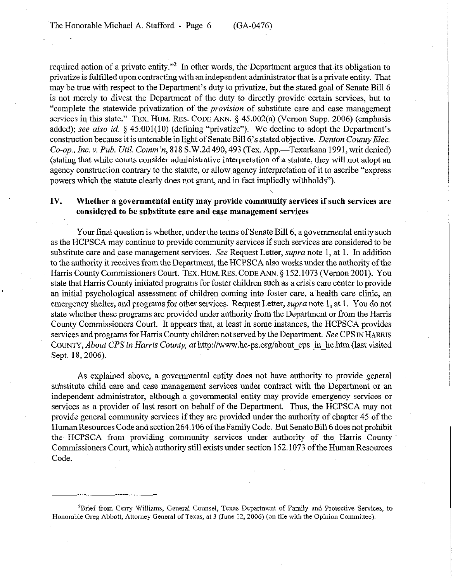required action of a private entity."<sup>2</sup> In other words, the Department argues that its obligation to privatize is fulfilled upon contracting with an independent administrator that is a private entity. That may be true with respect to the Department's duty to privatize, but the stated goal of Senate Bill 6 is not merely to divest the Department of the duty to directly provide certain services, but to "complete the statewide privatization of the *provision* of substitute care and case management services in this state." TEX. HUM. RES. CODE ANN. § 45.002(a) (Vernon Supp. 2006) (emphasis added); see also *id.* § 45.001(10) (defining "privatize"). We decline to adopt the Department's construction because it is untenable in light of Senate Bill 6's stated objective. *Denton County Elec. Co-op., Inc.* v. *Pub. Util.* Comm'n, 818 S.W.2d490,493 (Tex. App.-Texarkana 1991,writdenied) (stating that while courts consider administrative interpretation of a statute, they will not adopt an agency construction contrary to the statute, or allow agency interpretation of it to ascribe "express powers which the statute clearly does not grant, and in fact impliedly withholds").

### **IV. Whether a governmental entity may provide community services if such services are considered to be substitute care and case management services**

Your final question is whether, under the terms of Senate Bill 6, a governmental entity such as the HCPSCA may continue to provide community services if such services are considered to be substitute care and case management services. See Request Letter, *supra* note 1, at 1. In addition to the authority it receives from the Department, the HCPSCA also works under the authority of the Harris County Commissioners Court. TEX. HUM. RES. CODE ANN. § 152.1073 (Vernon 2001). You state that Harris County initiated programs for foster children such as a crisis care center to provide .an initial psychological assessment of children coming into foster care, a health care clinic, an emergency shelter, and programs for other services. Request Letter, supra note 1, at 1. You do not state whether these programs are provided under authority from the Department or from the Harris County Commissioners Court. It appears that, at least in some instances, the HCPSCA provides services and programs for Harris County children not served by the Department. See CPS IN HARRIS COUNTY, *About CPS in Harris* County, at http://www.hc-ps.orglabout-cps-in-hc.htm (last visited Sept. 18, 2006).

As explained above, a governmental entity does not have authority to provide general substitute child care and case management services under contract with the Department or an independent administrator, although a governmental entity may provide emergency services or services as a provider of last resort on behalf of the Department. Thus, the HCPSCA may not provide general community services if they are provided under the authority of chapter 45 of the Human Resources Code and section 264.106 of the Family Code. But Senate Bill 6 does not prohibit the HCPSCA from providing community services under authority of the Harris County Commissioners Court, which authority still exists under section 152.1073 of the Human Resources Code.

<sup>&</sup>lt;sup>2</sup>Brief from Gerry Williams, General Counsel, Texas Department of Family and Protective Services, to Honorable Greg Abbott, Attorney General of Texas, at 3 (June 12, 2006) (on file with the Opinion Committee).